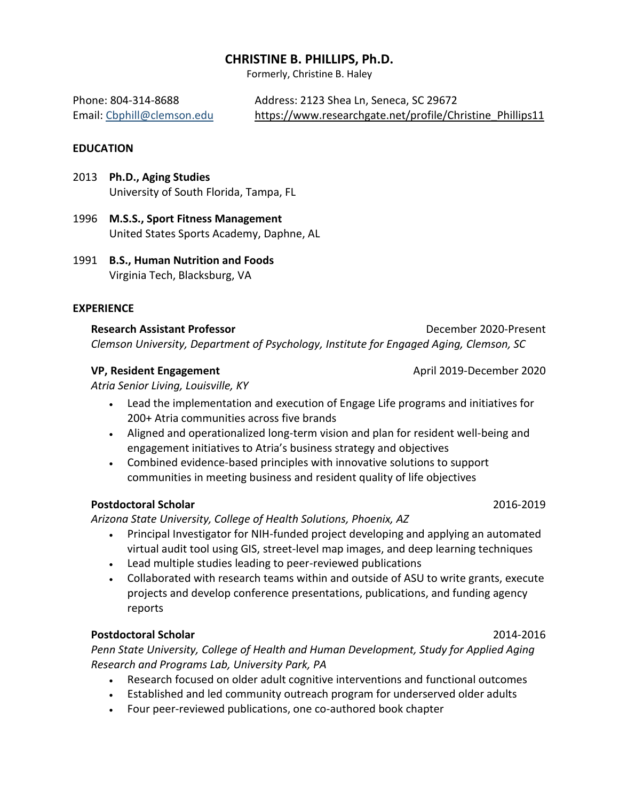# **CHRISTINE B. PHILLIPS, Ph.D.**

Formerly, Christine B. Haley

Phone: 804-314-8688 Address: 2123 Shea Ln, Seneca, SC 29672 Email: [Cbphill@clemson.edu](mailto:Cbphill@clemson.edu) [https://www.researchgate.net/profile/Christine\\_Phillips11](https://www.researchgate.net/profile/Christine_Phillips11)

#### **EDUCATION**

2013 **Ph.D., Aging Studies**  University of South Florida, Tampa, FL

- 1996 **M.S.S., Sport Fitness Management**  United States Sports Academy, Daphne, AL
- 1991 **B.S., Human Nutrition and Foods** Virginia Tech, Blacksburg, VA

#### **EXPERIENCE**

**Research Assistant Professor** December 2020-Present *Clemson University, Department of Psychology, Institute for Engaged Aging, Clemson, SC*

#### **VP, Resident Engagement April 2019-December 2020**

*Atria Senior Living, Louisville, KY*

- Lead the implementation and execution of Engage Life programs and initiatives for 200+ Atria communities across five brands
- Aligned and operationalized long-term vision and plan for resident well-being and engagement initiatives to Atria's business strategy and objectives
- Combined evidence-based principles with innovative solutions to support communities in meeting business and resident quality of life objectives

#### **Postdoctoral Scholar** 2016-2019

*Arizona State University, College of Health Solutions, Phoenix, AZ*

- Principal Investigator for NIH-funded project developing and applying an automated virtual audit tool using GIS, street-level map images, and deep learning techniques
- Lead multiple studies leading to peer-reviewed publications
- Collaborated with research teams within and outside of ASU to write grants, execute projects and develop conference presentations, publications, and funding agency reports

# **Postdoctoral Scholar** 2014-2016

*Penn State University, College of Health and Human Development, Study for Applied Aging Research and Programs Lab, University Park, PA*

- Research focused on older adult cognitive interventions and functional outcomes
- Established and led community outreach program for underserved older adults
- Four peer-reviewed publications, one co-authored book chapter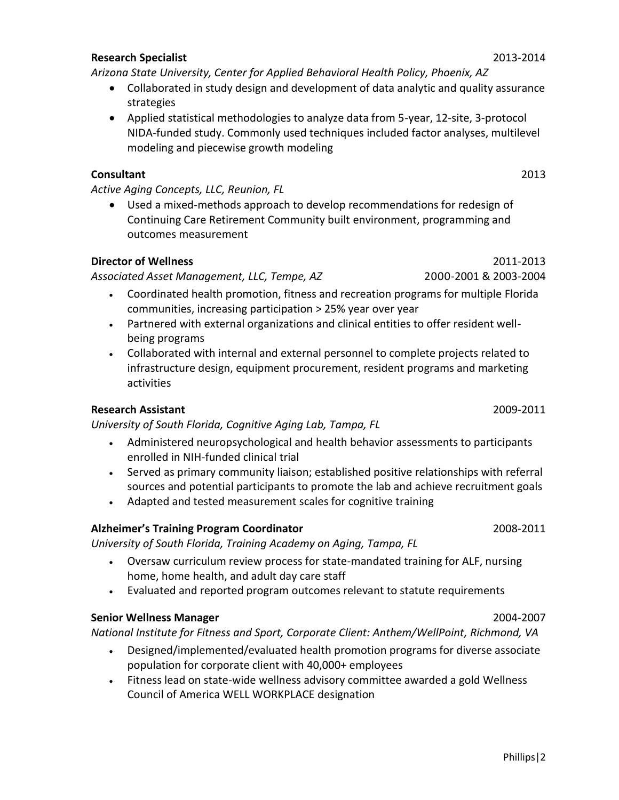# • Administered neuropsychological and health behavior assessments to participants

- enrolled in NIH-funded clinical trial • Served as primary community liaison; established positive relationships with referral
- sources and potential participants to promote the lab and achieve recruitment goals • Adapted and tested measurement scales for cognitive training
- **Alzheimer's Training Program Coordinator** 2008-2011

*University of South Florida, Training Academy on Aging, Tampa, FL*

*University of South Florida, Cognitive Aging Lab, Tampa, FL*

- Oversaw curriculum review process for state-mandated training for ALF, nursing home, home health, and adult day care staff
- Evaluated and reported program outcomes relevant to statute requirements

# **Senior Wellness Manager** 2004-2007

*National Institute for Fitness and Sport, Corporate Client: Anthem/WellPoint, Richmond, VA*

- Designed/implemented/evaluated health promotion programs for diverse associate population for corporate client with 40,000+ employees
- Fitness lead on state-wide wellness advisory committee awarded a gold Wellness Council of America WELL WORKPLACE designation

## **Consultant** 2013 *Active Aging Concepts, LLC, Reunion, FL*

• Used a mixed-methods approach to develop recommendations for redesign of Continuing Care Retirement Community built environment, programming and outcomes measurement

# **Director of Wellness** 2011-2013

*Associated Asset Management, LLC, Tempe, AZ*2000-2001 & 2003-2004

- Coordinated health promotion, fitness and recreation programs for multiple Florida communities, increasing participation > 25% year over year
- Partnered with external organizations and clinical entities to offer resident wellbeing programs
- Collaborated with internal and external personnel to complete projects related to infrastructure design, equipment procurement, resident programs and marketing activities

**Research Assistant** 2009-2011

# *Arizona State University, Center for Applied Behavioral Health Policy, Phoenix, AZ*

- Collaborated in study design and development of data analytic and quality assurance strategies
	- Applied statistical methodologies to analyze data from 5-year, 12-site, 3-protocol NIDA-funded study. Commonly used techniques included factor analyses, multilevel modeling and piecewise growth modeling

Phillips|2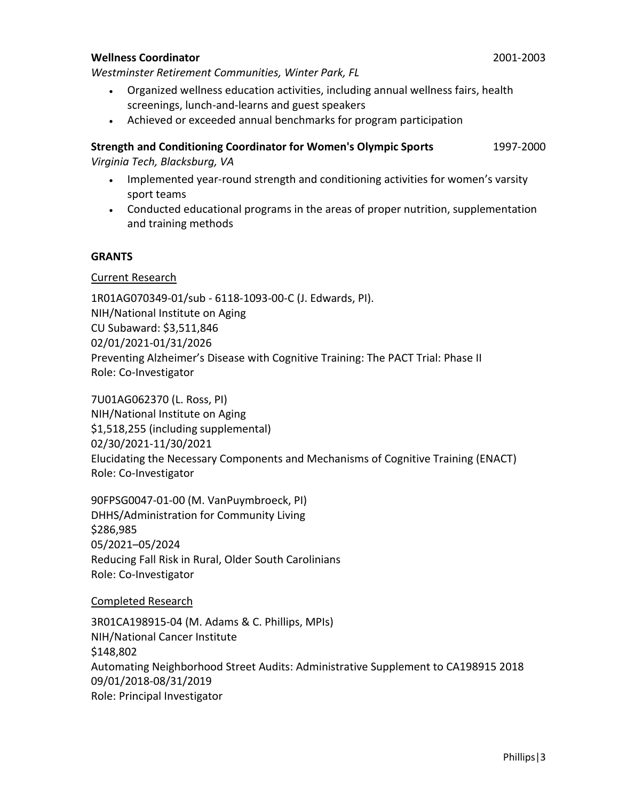#### **Wellness Coordinator** 2001-2003

*Westminster Retirement Communities, Winter Park, FL*

- Organized wellness education activities, including annual wellness fairs, health screenings, lunch-and-learns and guest speakers
- Achieved or exceeded annual benchmarks for program participation

# **Strength and Conditioning Coordinator for Women's Olympic Sports** 1997-2000 *Virginia Tech, Blacksburg, VA*

- Implemented year-round strength and conditioning activities for women's varsity sport teams
- Conducted educational programs in the areas of proper nutrition, supplementation and training methods

### **GRANTS**

### Current Research

1R01AG070349-01/sub - 6118-1093-00-C (J. Edwards, PI). NIH/National Institute on Aging CU Subaward: \$3,511,846 02/01/2021-01/31/2026 Preventing Alzheimer's Disease with Cognitive Training: The PACT Trial: Phase II Role: Co-Investigator

7U01AG062370 (L. Ross, PI) NIH/National Institute on Aging \$1,518,255 (including supplemental) 02/30/2021-11/30/2021 Elucidating the Necessary Components and Mechanisms of Cognitive Training (ENACT) Role: Co-Investigator

90FPSG0047-01-00 (M. VanPuymbroeck, PI) DHHS/Administration for Community Living \$286,985 05/2021–05/2024 Reducing Fall Risk in Rural, Older South Carolinians Role: Co-Investigator

Completed Research

3R01CA198915-04 (M. Adams & C. Phillips, MPIs) NIH/National Cancer Institute \$148,802 Automating Neighborhood Street Audits: Administrative Supplement to CA198915 2018 09/01/2018-08/31/2019 Role: Principal Investigator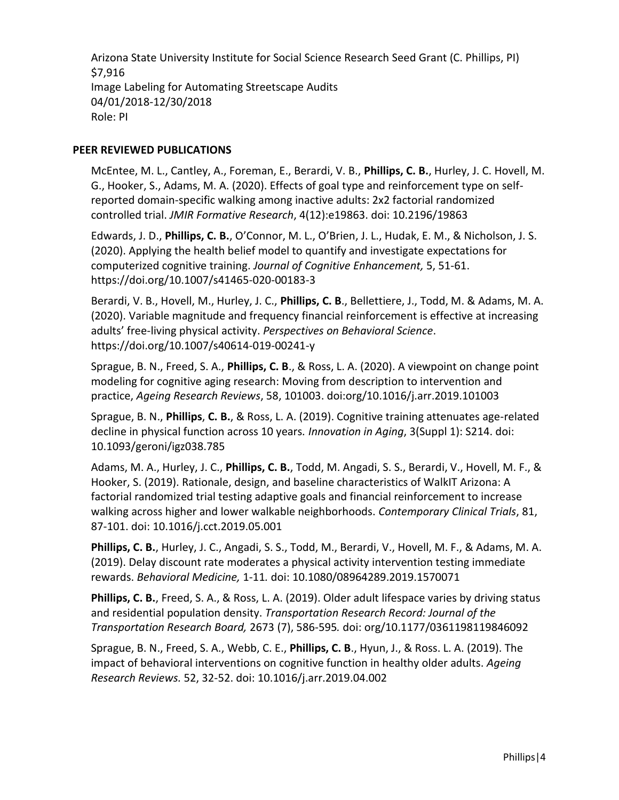Arizona State University Institute for Social Science Research Seed Grant (C. Phillips, PI) \$7,916 Image Labeling for Automating Streetscape Audits 04/01/2018-12/30/2018 Role: PI

# **PEER REVIEWED PUBLICATIONS**

McEntee, M. L., Cantley, A., Foreman, E., Berardi, V. B., **Phillips, C. B.**, Hurley, J. C. Hovell, M. G., Hooker, S., Adams, M. A. (2020). Effects of goal type and reinforcement type on selfreported domain-specific walking among inactive adults: 2x2 factorial randomized controlled trial. *JMIR Formative Research*, 4(12):e19863. doi: 10.2196/19863

Edwards, J. D., **Phillips, C. B.**, O'Connor, M. L., O'Brien, J. L., Hudak, E. M., & Nicholson, J. S. (2020). Applying the health belief model to quantify and investigate expectations for computerized cognitive training. *Journal of Cognitive Enhancement,* 5, 51-61. https://doi.org/10.1007/s41465-020-00183-3

Berardi, V. B., Hovell, M., Hurley, J. C., **Phillips, C. B**., Bellettiere, J., Todd, M. & Adams, M. A. (2020). Variable magnitude and frequency financial reinforcement is effective at increasing adults' free-living physical activity. *Perspectives on Behavioral Science*. https://doi.org/10.1007/s40614-019-00241-y

Sprague, B. N., Freed, S. A., **Phillips, C. B**., & Ross, L. A. (2020). A viewpoint on change point modeling for cognitive aging research: Moving from description to intervention and practice, *Ageing Research Reviews*, 58, 101003. doi:org/10.1016/j.arr.2019.101003

Sprague, B. N., **Phillips**, **C. B.**, & Ross, L. A. (2019). Cognitive training attenuates age-related decline in physical function across 10 years*. Innovation in Aging*, 3(Suppl 1): S214. doi: 10.1093/geroni/igz038.785

Adams, M. A., Hurley, J. C., **Phillips, C. B.**, Todd, M. Angadi, S. S., Berardi, V., Hovell, M. F., & Hooker, S. (2019). Rationale, design, and baseline characteristics of WalkIT Arizona: A factorial randomized trial testing adaptive goals and financial reinforcement to increase walking across higher and lower walkable neighborhoods. *Contemporary Clinical Trials*, 81, 87-101. doi: 10.1016/j.cct.2019.05.001

**Phillips, C. B.**, Hurley, J. C., Angadi, S. S., Todd, M., Berardi, V., Hovell, M. F., & Adams, M. A. (2019). Delay discount rate moderates a physical activity intervention testing immediate rewards. *Behavioral Medicine,* 1-11*.* doi: 10.1080/08964289.2019.1570071

**Phillips, C. B.**, Freed, S. A., & Ross, L. A. (2019). Older adult lifespace varies by driving status and residential population density. *Transportation Research Record: Journal of the Transportation Research Board,* 2673 (7), 586-595*.* doi: org/10.1177/0361198119846092

Sprague, B. N., Freed, S. A., Webb, C. E., **Phillips, C. B**., Hyun, J., & Ross. L. A. (2019). The impact of behavioral interventions on cognitive function in healthy older adults. *Ageing Research Reviews.* 52, 32-52. doi: 10.1016/j.arr.2019.04.002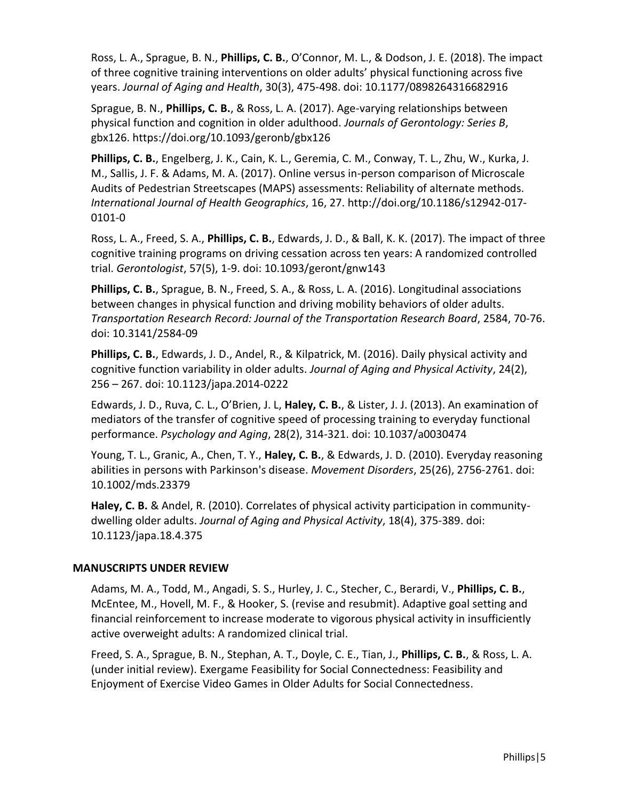Ross, L. A., Sprague, B. N., **Phillips, C. B.**, O'Connor, M. L., & Dodson, J. E. (2018). The impact of three cognitive training interventions on older adults' physical functioning across five years. *Journal of Aging and Health*, 30(3), 475-498. doi: 10.1177/0898264316682916

Sprague, B. N., **Phillips, C. B.**, & Ross, L. A. (2017). Age-varying relationships between physical function and cognition in older adulthood. *Journals of Gerontology: Series B*, gbx126. https://doi.org/10.1093/geronb/gbx126

**Phillips, C. B.**, Engelberg, J. K., Cain, K. L., Geremia, C. M., Conway, T. L., Zhu, W., Kurka, J. M., Sallis, J. F. & Adams, M. A. (2017). Online versus in-person comparison of Microscale Audits of Pedestrian Streetscapes (MAPS) assessments: Reliability of alternate methods. *International Journal of Health Geographics*, 16, 27. http://doi.org/10.1186/s12942-017- 0101-0

Ross, L. A., Freed, S. A., **Phillips, C. B.**, Edwards, J. D., & Ball, K. K. (2017). The impact of three cognitive training programs on driving cessation across ten years: A randomized controlled trial. *Gerontologist*, 57(5), 1-9. doi: 10.1093/geront/gnw143

**Phillips, C. B.**, Sprague, B. N., Freed, S. A., & Ross, L. A. (2016). Longitudinal associations between changes in physical function and driving mobility behaviors of older adults. *Transportation Research Record: Journal of the Transportation Research Board*, 2584, 70-76. doi: 10.3141/2584-09

**Phillips, C. B.**, Edwards, J. D., Andel, R., & Kilpatrick, M. (2016). Daily physical activity and cognitive function variability in older adults. *Journal of Aging and Physical Activity*, 24(2), 256 – 267. doi: 10.1123/japa.2014-0222

Edwards, J. D., Ruva, C. L., O'Brien, J. L, **Haley, C. B.**, & Lister, J. J. (2013). An examination of mediators of the transfer of cognitive speed of processing training to everyday functional performance. *Psychology and Aging*, 28(2), 314-321. doi: 10.1037/a0030474

Young, T. L., Granic, A., Chen, T. Y., **Haley, C. B.**, & Edwards, J. D. (2010). Everyday reasoning abilities in persons with Parkinson's disease. *Movement Disorders*, 25(26), 2756-2761. doi: 10.1002/mds.23379

**Haley, C. B.** & Andel, R. (2010). Correlates of physical activity participation in communitydwelling older adults. *Journal of Aging and Physical Activity*, 18(4), 375-389. doi: 10.1123/japa.18.4.375

# **MANUSCRIPTS UNDER REVIEW**

Adams, M. A., Todd, M., Angadi, S. S., Hurley, J. C., Stecher, C., Berardi, V., **Phillips, C. B.**, McEntee, M., Hovell, M. F., & Hooker, S. (revise and resubmit). Adaptive goal setting and financial reinforcement to increase moderate to vigorous physical activity in insufficiently active overweight adults: A randomized clinical trial.

Freed, S. A., Sprague, B. N., Stephan, A. T., Doyle, C. E., Tian, J., **Phillips, C. B.**, & Ross, L. A. (under initial review). Exergame Feasibility for Social Connectedness: Feasibility and Enjoyment of Exercise Video Games in Older Adults for Social Connectedness.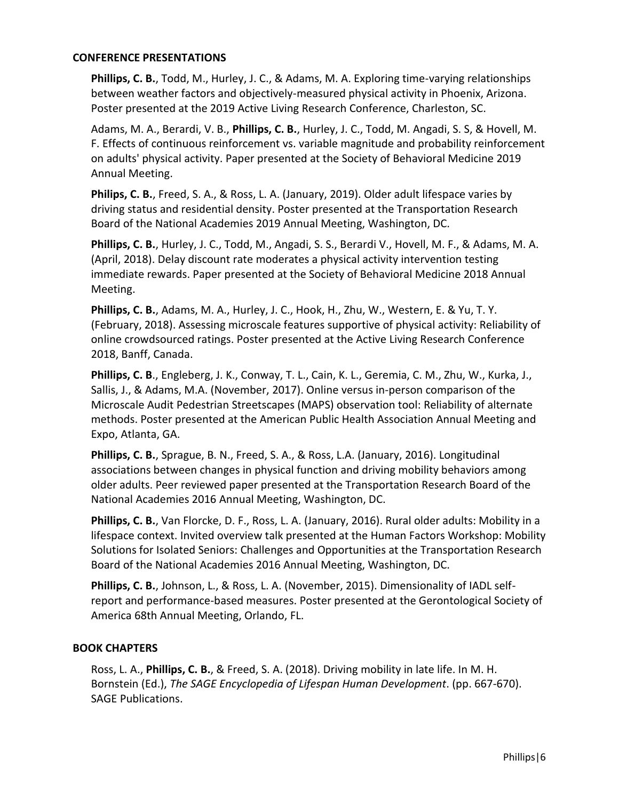### **CONFERENCE PRESENTATIONS**

**Phillips, C. B.**, Todd, M., Hurley, J. C., & Adams, M. A. Exploring time-varying relationships between weather factors and objectively-measured physical activity in Phoenix, Arizona. Poster presented at the 2019 Active Living Research Conference, Charleston, SC.

Adams, M. A., Berardi, V. B., **Phillips, C. B.**, Hurley, J. C., Todd, M. Angadi, S. S, & Hovell, M. F. Effects of continuous reinforcement vs. variable magnitude and probability reinforcement on adults' physical activity. Paper presented at the Society of Behavioral Medicine 2019 Annual Meeting.

**Philips, C. B.**, Freed, S. A., & Ross, L. A. (January, 2019). Older adult lifespace varies by driving status and residential density. Poster presented at the Transportation Research Board of the National Academies 2019 Annual Meeting, Washington, DC.

**Phillips, C. B.**, Hurley, J. C., Todd, M., Angadi, S. S., Berardi V., Hovell, M. F., & Adams, M. A. (April, 2018). Delay discount rate moderates a physical activity intervention testing immediate rewards. Paper presented at the Society of Behavioral Medicine 2018 Annual Meeting.

**Phillips, C. B.**, Adams, M. A., Hurley, J. C., Hook, H., Zhu, W., Western, E. & Yu, T. Y. (February, 2018). Assessing microscale features supportive of physical activity: Reliability of online crowdsourced ratings. Poster presented at the Active Living Research Conference 2018, Banff, Canada.

**Phillips, C. B**., Engleberg, J. K., Conway, T. L., Cain, K. L., Geremia, C. M., Zhu, W., Kurka, J., Sallis, J., & Adams, M.A. (November, 2017). Online versus in-person comparison of the Microscale Audit Pedestrian Streetscapes (MAPS) observation tool: Reliability of alternate methods. Poster presented at the American Public Health Association Annual Meeting and Expo, Atlanta, GA.

**Phillips, C. B.**, Sprague, B. N., Freed, S. A., & Ross, L.A. (January, 2016). Longitudinal associations between changes in physical function and driving mobility behaviors among older adults. Peer reviewed paper presented at the Transportation Research Board of the National Academies 2016 Annual Meeting, Washington, DC.

**Phillips, C. B.**, Van Florcke, D. F., Ross, L. A. (January, 2016). Rural older adults: Mobility in a lifespace context. Invited overview talk presented at the Human Factors Workshop: Mobility Solutions for Isolated Seniors: Challenges and Opportunities at the Transportation Research Board of the National Academies 2016 Annual Meeting, Washington, DC.

**Phillips, C. B.**, Johnson, L., & Ross, L. A. (November, 2015). Dimensionality of IADL selfreport and performance-based measures. Poster presented at the Gerontological Society of America 68th Annual Meeting, Orlando, FL.

# **BOOK CHAPTERS**

Ross, L. A., **Phillips, C. B.**, & Freed, S. A. (2018). Driving mobility in late life. In M. H. Bornstein (Ed.), *The SAGE Encyclopedia of Lifespan Human Development*. (pp. 667-670). SAGE Publications.